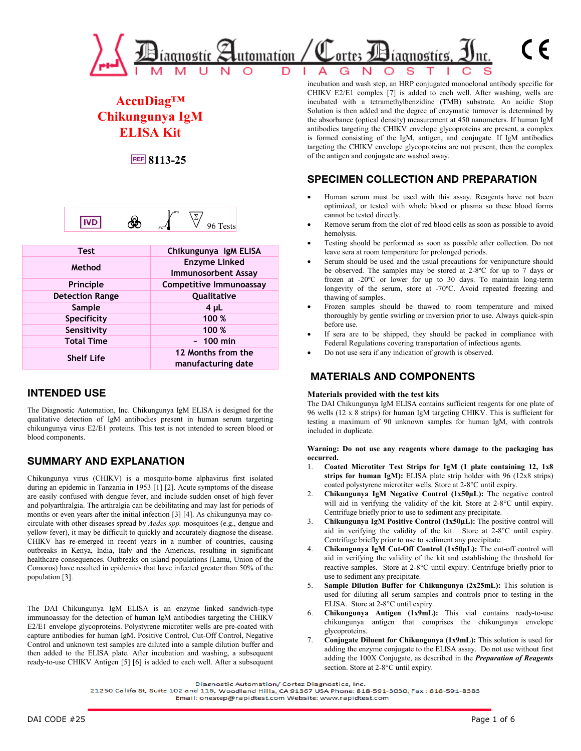

# **AccuDiag™ Chikungunya IgM ELISA Kit**

**REF** 8113-25



| <b>Test</b>            | Chikungunya IgM ELISA                              |
|------------------------|----------------------------------------------------|
| Method                 | <b>Enzyme Linked</b><br><b>Immunosorbent Assay</b> |
| Principle              | Competitive Immunoassay                            |
| <b>Detection Range</b> | Qualitative                                        |
| Sample                 | 4 <sub>µ</sub>                                     |
| Specificity            | 100 %                                              |
| Sensitivity            | 100 %                                              |
| <b>Total Time</b>      | $~100$ min                                         |
| <b>Shelf Life</b>      | 12 Months from the<br>manufacturing date           |

### **INTENDED USE**

The Diagnostic Automation, Inc. Chikungunya IgM ELISA is designed for the qualitative detection of IgM antibodies present in human serum targeting chikungunya virus E2/E1 proteins. This test is not intended to screen blood or blood components.

## **SUMMARY AND EXPLANATION**

Chikungunya virus (CHIKV) is a mosquito-borne alphavirus first isolated during an epidemic in Tanzania in 1953 [1] [2]. Acute symptoms of the disease are easily confused with dengue fever, and include sudden onset of high fever and polyarthralgia. The arthralgia can be debilitating and may last for periods of months or even years after the initial infection [3] [4]. As chikungunya may cocirculate with other diseases spread by *Aedes spp.* mosquitoes (e.g., dengue and yellow fever), it may be difficult to quickly and accurately diagnose the disease. CHIKV has re-emerged in recent years in a number of countries, causing outbreaks in Kenya, India, Italy and the Americas, resulting in significant healthcare consequences. Outbreaks on island populations (Lamu, Union of the Comoros) have resulted in epidemics that have infected greater than 50% of the population [3].

The DAI Chikungunya IgM ELISA is an enzyme linked sandwich-type immunoassay for the detection of human IgM antibodies targeting the CHIKV E2/E1 envelope glycoproteins. Polystyrene microtiter wells are pre-coated with capture antibodies for human IgM. Positive Control, Cut-Off Control, Negative Control and unknown test samples are diluted into a sample dilution buffer and then added to the ELISA plate. After incubation and washing, a subsequent ready-to-use CHIKV Antigen [5] [6] is added to each well. After a subsequent

incubation and wash step, an HRP conjugated monoclonal antibody specific for CHIKV E2/E1 complex [7] is added to each well. After washing, wells are incubated with a tetramethylbenzidine (TMB) substrate. An acidic Stop Solution is then added and the degree of enzymatic turnover is determined by the absorbance (optical density) measurement at 450 nanometers. If human IgM antibodies targeting the CHIKV envelope glycoproteins are present, a complex is formed consisting of the IgM, antigen, and conjugate. If IgM antibodies targeting the CHIKV envelope glycoproteins are not present, then the complex of the antigen and conjugate are washed away.

### **SPECIMEN COLLECTION AND PREPARATION**

- Human serum must be used with this assay. Reagents have not been optimized, or tested with whole blood or plasma so these blood forms cannot be tested directly.
- Remove serum from the clot of red blood cells as soon as possible to avoid hemolysis.
- Testing should be performed as soon as possible after collection. Do not leave sera at room temperature for prolonged periods.
- Serum should be used and the usual precautions for venipuncture should be observed. The samples may be stored at 2-8ºC for up to 7 days or frozen at -20ºC or lower for up to 30 days. To maintain long-term longevity of the serum, store at -70°C. Avoid repeated freezing and thawing of samples.
- Frozen samples should be thawed to room temperature and mixed thoroughly by gentle swirling or inversion prior to use. Always quick-spin before use.
- If sera are to be shipped, they should be packed in compliance with Federal Regulations covering transportation of infectious agents.
- Do not use sera if any indication of growth is observed.

### **MATERIALS AND COMPONENTS**

#### **Materials provided with the test kits**

The DAI Chikungunya IgM ELISA contains sufficient reagents for one plate of 96 wells (12 x 8 strips) for human IgM targeting CHIKV. This is sufficient for testing a maximum of 90 unknown samples for human IgM, with controls included in duplicate.

**Warning: Do not use any reagents where damage to the packaging has occurred.**

- 1. **Coated Microtiter Test Strips for IgM (1 plate containing 12, 1x8**  strips for human IgM): ELISA plate strip holder with 96 (12x8 strips) coated polystyrene microtiter wells. Store at 2-8°C until expiry.
- 2. **Chikungunya IgM Negative Control (1x50µL):** The negative control will aid in verifying the validity of the kit. Store at 2-8°C until expiry. Centrifuge briefly prior to use to sediment any precipitate.
- 3. **Chikungunya IgM Positive Control (1x50µL):** The positive control will aid in verifying the validity of the kit. Store at 2-8°C until expiry. Centrifuge briefly prior to use to sediment any precipitate.
- 4. **Chikungunya IgM Cut-Off Control (1x50µL):** The cut-off control will aid in verifying the validity of the kit and establishing the threshold for reactive samples. Store at 2-8°C until expiry. Centrifuge briefly prior to use to sediment any precipitate.
- 5. **Sample Dilution Buffer for Chikungunya (2x25mL):** This solution is used for diluting all serum samples and controls prior to testing in the ELISA. Store at 2-8°C until expiry.
- 6. **Chikungunya Antigen (1x9mL):** This vial contains ready-to-use chikungunya antigen that comprises the chikungunya envelope glycoproteins.
- 7. **Conjugate Diluent for Chikungunya (1x9mL):** This solution is used for adding the enzyme conjugate to the ELISA assay. Do not use without first adding the 100X Conjugate, as described in the *Preparation of Reagents* section. Store at 2-8°C until expiry.

Diagnostic Automation/ Cortez Diagnostics, Inc.

21250 Califa St, Suite 102 and 116, Woodland Hills, CA 91367 USA Phone: 818-591-3030, Fax: 818-591-8383

Email: onestep@rapidtest.com Website: www.rapidtest.com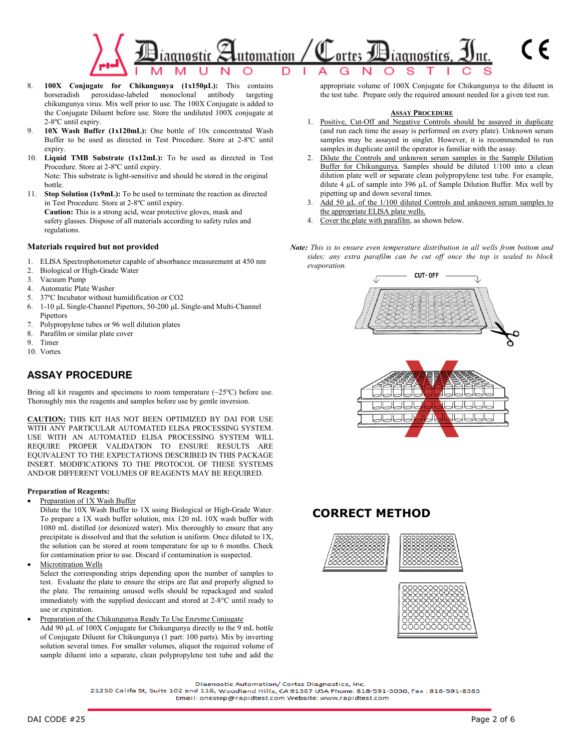

- 8. **100X Conjugate for Chikungunya (1x150μL):** This contains horseradish peroxidase-labeled monoclonal antibody targeting chikungunya virus. Mix well prior to use. The 100X Conjugate is added to the Conjugate Diluent before use. Store the undiluted 100X conjugate at 2-8ºC until expiry.
- 9. **10X Wash Buffer (1x120mL):** One bottle of 10x concentrated Wash Buffer to be used as directed in Test Procedure. Store at 2-8ºC until expiry.
- 10. **Liquid TMB Substrate (1x12mL):** To be used as directed in Test Procedure. Store at 2-8ºC until expiry. Note: This substrate is light-sensitive and should be stored in the original bottle.
- 11. **Stop Solution (1x9mL):** To be used to terminate the reaction as directed in Test Procedure. Store at 2-8ºC until expiry.

**Caution:** This is a strong acid, wear protective gloves, mask and safety glasses. Dispose of all materials according to safety rules and regulations.

#### **Materials required but not provided**

- 1. ELISA Spectrophotometer capable of absorbance measurement at 450 nm
- 2. Biological or High-Grade Water
- 3. Vacuum Pump
- 4. Automatic Plate Washer
- 5. 37ºC Incubator without humidification or CO2
- 6. 1-10 μL Single-Channel Pipettors, 50-200 μL Single-and Multi-Channel **Pipettors**
- 7. Polypropylene tubes or 96 well dilution plates<br>8. Parafilm or similar plate cover
- Parafilm or similar plate cover
- 9. Timer
- 10. Vortex

## **ASSAY PROCEDURE**

Bring all kit reagents and specimens to room temperature  $(\sim 25^{\circ}C)$  before use. Thoroughly mix the reagents and samples before use by gentle inversion.

**CAUTION:** THIS KIT HAS NOT BEEN OPTIMIZED BY DAI FOR USE WITH ANY PARTICULAR AUTOMATED ELISA PROCESSING SYSTEM. USE WITH AN AUTOMATED ELISA PROCESSING SYSTEM WILL REQUIRE PROPER VALIDATION TO ENSURE RESULTS ARE EQUIVALENT TO THE EXPECTATIONS DESCRIBED IN THIS PACKAGE INSERT. MODIFICATIONS TO THE PROTOCOL OF THESE SYSTEMS AND/OR DIFFERENT VOLUMES OF REAGENTS MAY BE REQUIRED.

#### **Preparation of Reagents:**

Preparation of 1X Wash Buffer

Dilute the 10X Wash Buffer to 1X using Biological or High-Grade Water. To prepare a 1X wash buffer solution, mix 120 mL 10X wash buffer with 1080 mL distilled (or deionized water). Mix thoroughly to ensure that any precipitate is dissolved and that the solution is uniform. Once diluted to 1X, the solution can be stored at room temperature for up to 6 months. Check for contamination prior to use. Discard if contamination is suspected.

**Microtitration Wells** 

Select the corresponding strips depending upon the number of samples to test. Evaluate the plate to ensure the strips are flat and properly aligned to the plate. The remaining unused wells should be repackaged and sealed immediately with the supplied desiccant and stored at 2-8°C until ready to use or expiration.

• Preparation of the Chikungunya Ready To Use Enzyme Conjugate Add 90 µL of 100X Conjugate for Chikungunya directly to the 9 mL bottle of Conjugate Diluent for Chikungunya (1 part: 100 parts). Mix by inverting solution several times. For smaller volumes, aliquot the required volume of sample diluent into a separate, clean polypropylene test tube and add the

appropriate volume of 100X Conjugate for Chikungunya to the diluent in the test tube. Prepare only the required amount needed for a given test run.

#### **ASSAY PROCEDURE**

- 1. Positive, Cut-Off and Negative Controls should be assayed in duplicate (and run each time the assay is performed on every plate). Unknown serum samples may be assayed in singlet. However, it is recommended to run samples in duplicate until the operator is familiar with the assay.
- 2. Dilute the Controls and unknown serum samples in the Sample Dilution Buffer for Chikungunya. Samples should be diluted 1/100 into a clean dilution plate well or separate clean polypropylene test tube. For example, dilute 4 µL of sample into 396 µL of Sample Dilution Buffer. Mix well by pipetting up and down several times.
- 3. Add 50 µL of the 1/100 diluted Controls and unknown serum samples to the appropriate ELISA plate wells.
- 4. Cover the plate with parafilm, as shown below.
- *Note: This is to ensure even temperature distribution in all wells from bottom and sides; any extra parafilm can be cut off once the top is sealed to block evaporation.*



## **CORRECT METHOD**



Diagnostic Automation/ Cortez Diagnostics, Inc.

21250 Califa St, Suite 102 and 116, Woodland Hills, CA 91367 USA Phone: 818-591-3030, Fax: 818-591-8383 Email: onestep@rapidtest.com Website: www.rapidtest.com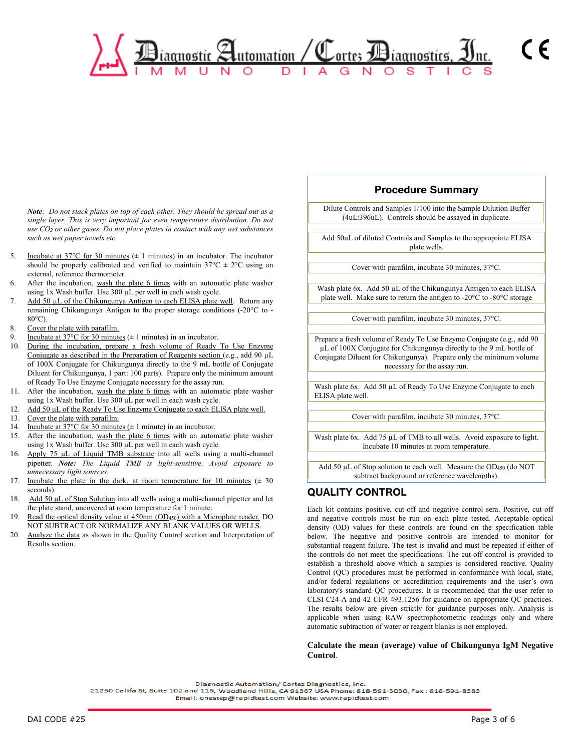*Note: Do not stack plates on top of each other. They should be spread out as a single layer. This is very important for even temperature distribution. Do not use CO2 or other gases. Do not place plates in contact with any wet substances such as wet paper towels etc.*

- 5. Incubate at  $37^{\circ}$ C for 30 minutes ( $\pm$  1 minutes) in an incubator. The incubator should be properly calibrated and verified to maintain  $37^{\circ}$ C  $\pm$  2°C using an external, reference thermometer.
- 6. After the incubation, wash the plate 6 times with an automatic plate washer using 1x Wash buffer. Use 300 µL per well in each wash cycle.
- 7. Add 50 µL of the Chikungunya Antigen to each ELISA plate well. Return any remaining Chikungunya Antigen to the proper storage conditions (-20°C to -  $80^{\circ}$ C).
- 8. Cover the plate with parafilm.
- 9. Incubate at  $37^{\circ}$ C for  $30$  minutes ( $\pm 1$  minutes) in an incubator.<br>10. During the incubation, prepare a fresh volume of Ready
- During the incubation, prepare a fresh volume of Ready To Use Enzyme Conjugate as described in the Preparation of Reagents section (e.g., add 90 µL of 100X Conjugate for Chikungunya directly to the 9 mL bottle of Conjugate Diluent for Chikungunya, 1 part: 100 parts). Prepare only the minimum amount of Ready To Use Enzyme Conjugate necessary for the assay run.
- 11. After the incubation, wash the plate 6 times with an automatic plate washer using 1x Wash buffer. Use 300 μL per well in each wash cycle.
- 12. Add 50 μL of the Ready To Use Enzyme Conjugate to each ELISA plate well.
- 13. Cover the plate with parafilm.
- 14. Incubate at  $37^{\circ}$ C for  $30$  minutes ( $\pm$  1 minute) in an incubator.
- 15. After the incubation, wash the plate 6 times with an automatic plate washer using 1x Wash buffer. Use 300 μL per well in each wash cycle.
- 16. Apply 75 μL of Liquid TMB substrate into all wells using a multi-channel pipetter. *Note: The Liquid TMB is light-sensitive. Avoid exposure to unnecessary light sources.*
- 17. Incubate the plate in the dark, at room temperature for 10 minutes  $(± 30$ seconds).
- 18. Add 50 μL of Stop Solution into all wells using a multi-channel pipetter and let the plate stand, uncovered at room temperature for 1 minute.
- 19. Read the optical density value at 450nm (OD<sub>450</sub>) with a Microplate reader. DO NOT SUBTRACT OR NORMALIZE ANY BLANK VALUES OR WELLS.
- 20. Analyze the data as shown in the Quality Control section and Interpretation of Results section.

### **Procedure Summary**

 $\epsilon$ 

Dilute Controls and Samples 1/100 into the Sample Dilution Buffer (4uL:396uL). Controls should be assayed in duplicate.

Add 50uL of diluted Controls and Samples to the appropriate ELISA plate wells.

Cover with parafilm, incubate 30 minutes, 37°C.

Wash plate 6x. Add 50 µL of the Chikungunya Antigen to each ELISA plate well. Make sure to return the antigen to -20°C to -80°C storage

Cover with parafilm, incubate 30 minutes, 37°C.

Prepare a fresh volume of Ready To Use Enzyme Conjugate (e.g., add 90 µL of 100X Conjugate for Chikungunya directly to the 9 mL bottle of Conjugate Diluent for Chikungunya). Prepare only the minimum volume necessary for the assay run.

Wash plate 6x. Add 50 µL of Ready To Use Enzyme Conjugate to each ELISA plate well.

Cover with parafilm, incubate 30 minutes, 37°C.

Wash plate 6x. Add 75 µL of TMB to all wells. Avoid exposure to light. Incubate 10 minutes at room temperature.

Add 50  $\mu$ L of Stop solution to each well. Measure the OD<sub>450</sub> (do NOT subtract background or reference wavelengths).

## **QUALITY CONTROL**

Each kit contains positive, cut-off and negative control sera. Positive, cut-off and negative controls must be run on each plate tested. Acceptable optical density (OD) values for these controls are found on the specification table below. The negative and positive controls are intended to monitor for substantial reagent failure. The test is invalid and must be repeated if either of the controls do not meet the specifications. The cut-off control is provided to establish a threshold above which a samples is considered reactive. Quality Control (QC) procedures must be performed in conformance with local, state, and/or federal regulations or accreditation requirements and the user's own laboratory's standard QC procedures. It is recommended that the user refer to CLSI C24-A and 42 CFR 493.1256 for guidance on appropriate QC practices. The results below are given strictly for guidance purposes only. Analysis is applicable when using RAW spectrophotometric readings only and where automatic subtraction of water or reagent blanks is not employed.

#### **Calculate the mean (average) value of Chikungunya IgM Negative Control**.

Diagnostic Automation/ Cortez Diagnostics, Inc.

21250 Califa St, Suite 102 and 116, Woodland Hills, CA 91367 USA Phone: 818-591-3030, Fax: 818-591-8383

Email: onestep@rapidtest.com Website: www.rapidtest.com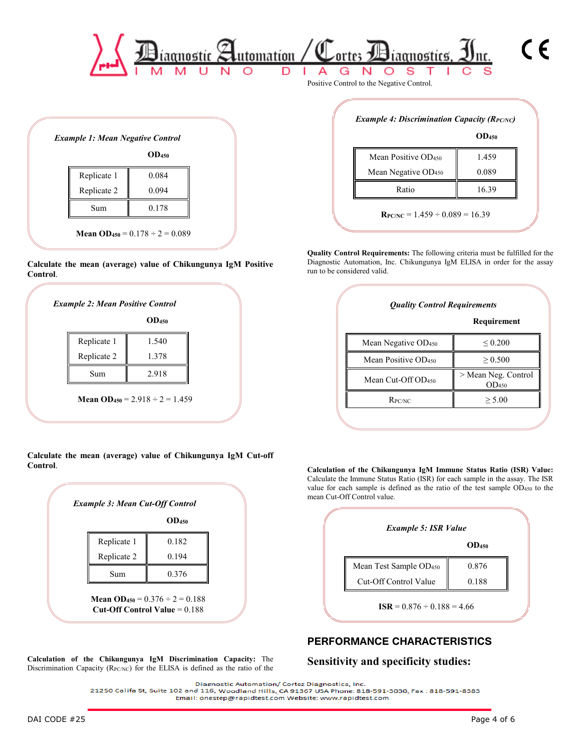

|             | OD <sub>450</sub> |
|-------------|-------------------|
| Replicate 1 | 0.084             |
| Replicate 2 | 0.094             |
| Sum         | 0.178             |

#### **Calculate the mean (average) value of Chikungunya IgM Positive Control**.

| Replicate 1 |       |
|-------------|-------|
|             | 1.540 |
| Replicate 2 | 1.378 |
| Sum         | 2.918 |

**Calculate the mean (average) value of Chikungunya IgM Cut-off Control**.

|             | OD <sub>450</sub> |
|-------------|-------------------|
| Replicate 1 | 0.182             |
| Replicate 2 | 0.194             |
| Sum         | 0.376             |

**Calculation of the Chikungunya IgM Discrimination Capacity:** The Discrimination Capacity ( $R_{PC/NC}$ ) for the ELISA is defined as the ratio of the

|                                 | OD <sub>450</sub> |
|---------------------------------|-------------------|
| Mean Positive OD <sub>450</sub> | 1.459             |
| Mean Negative OD <sub>450</sub> | 0.089             |
| Ratio                           | 16.39             |

**Quality Control Requirements:** The following criteria must be fulfilled for the Diagnostic Automation, Inc. Chikungunya IgM ELISA in order for the assay run to be considered valid.

|                                 | Requirement                              |
|---------------------------------|------------------------------------------|
| Mean Negative OD <sub>450</sub> | ${}_{0.200}$                             |
| Mean Positive OD <sub>450</sub> | > 0.500                                  |
| Mean Cut-Off $OD450$            | > Mean Neg. Control<br>OD <sub>450</sub> |
| $R_{PC/NC}$                     | > 5.00                                   |

**Calculation of the Chikungunya IgM Immune Status Ratio (ISR) Value:** Calculate the Immune Status Ratio (ISR) for each sample in the assay. The ISR value for each sample is defined as the ratio of the test sample OD450 to the mean Cut-Off Control value.



## **PERFORMANCE CHARACTERISTICS**

### **Sensitivity and specificity studies:**

Diagnostic Automation/ Cortez Diagnostics, Inc. 21250 Califa St, Suite 102 and 116, Woodland Hills, CA 91367 USA Phone: 818-591-8030, Fax: 818-591-8383 Email: onestep@rapidtest.com Website: www.rapidtest.com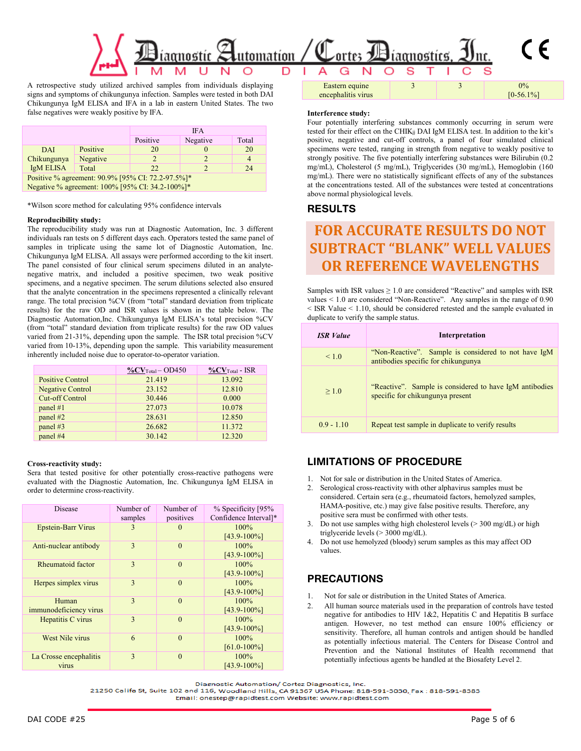

A retrospective study utilized archived samples from individuals displaying signs and symptoms of chikungunya infection. Samples were tested in both DAI Chikungunya IgM ELISA and IFA in a lab in eastern United States. The two false negatives were weakly positive by IFA.

|                                                   |          | <b>IFA</b> |          |       |
|---------------------------------------------------|----------|------------|----------|-------|
|                                                   |          | Positive   | Negative | Total |
| DAI                                               | Positive | 20         |          | 20    |
| Chikungunya                                       | Negative | 2          |          |       |
| <b>IgM ELISA</b>                                  | Total    | 22         |          | 24    |
| Positive % agreement: 90.9% [95% CI: 72.2-97.5%]* |          |            |          |       |
| Negative % agreement: 100% [95% CI: 34.2-100%]*   |          |            |          |       |

\*Wilson score method for calculating 95% confidence intervals

#### **Reproducibility study:**

The reproducibility study was run at Diagnostic Automation, Inc. 3 different individuals ran tests on 5 different days each. Operators tested the same panel of samples in triplicate using the same lot of Diagnostic Automation, Inc. Chikungunya IgM ELISA. All assays were performed according to the kit insert. The panel consisted of four clinical serum specimens diluted in an analytenegative matrix, and included a positive specimen, two weak positive specimens, and a negative specimen. The serum dilutions selected also ensured that the analyte concentration in the specimens represented a clinically relevant range. The total precision %CV (from "total" standard deviation from triplicate results) for the raw OD and ISR values is shown in the table below. The Diagnostic Automation,Inc. Chikungunya IgM ELISA's total precision %CV (from "total" standard deviation from triplicate results) for the raw OD values varied from 21-31%, depending upon the sample. The ISR total precision %CV varied from 10-13%, depending upon the sample. This variability measurement inherently included noise due to operator-to-operator variation.

|                         | $\%$ CV <sub>Total</sub> - OD450 | $\%$ C $V$ Total - ISR |
|-------------------------|----------------------------------|------------------------|
| <b>Positive Control</b> | 21.419                           | 13.092                 |
| <b>Negative Control</b> | 23.152                           | 12.810                 |
| <b>Cut-off Control</b>  | 30.446                           | 0.000                  |
| panel $#1$              | 27.073                           | 10.078                 |
| panel #2                | 28.631                           | 12.850                 |
| panel #3                | 26.682                           | 11.372                 |
| panel #4                | 30.142                           | 12.320                 |

#### **Cross-reactivity study:**

Sera that tested positive for other potentially cross-reactive pathogens were evaluated with the Diagnostic Automation, Inc. Chikungunya IgM ELISA in order to determine cross-reactivity.

| <b>Disease</b>                  | Number of<br>samples | Number of<br>positives | % Specificity [95%<br>Confidence Interval]* |
|---------------------------------|----------------------|------------------------|---------------------------------------------|
| <b>Epstein-Barr Virus</b>       | 3                    | $\mathbf{0}$           | 100%<br>$[43.9 - 100\%]$                    |
| Anti-nuclear antibody           | 3                    | $\theta$               | 100%<br>$[43.9 - 100\%]$                    |
| Rheumatoid factor               | 3                    | $\theta$               | 100%<br>$[43.9 - 100\%]$                    |
| Herpes simplex virus            | 3                    | $\theta$               | 100%<br>$[43.9 - 100\%]$                    |
| Human<br>immunodeficiency virus | 3                    | $\theta$               | 100%<br>$[43.9 - 100\%]$                    |
| Hepatitis C virus               | 3                    | $\Omega$               | $100\%$<br>$[43.9 - 100\%]$                 |
| West Nile virus                 | 6                    | $\Omega$               | 100%<br>$[61.0 - 100\%]$                    |
| La Crosse encephalitis<br>virus | $\mathbf{3}$         | $\theta$               | 100%<br>$[43.9 - 100\%]$                    |

#### **Interference study:**

encephalitis virus

Four potentially interfering substances commonly occurring in serum were tested for their effect on the CHIK<sub>ij</sub> DAI IgM ELISA test. In addition to the kit's positive, negative and cut-off controls, a panel of four simulated clinical specimens were tested, ranging in strength from negative to weakly positive to strongly positive. The five potentially interfering substances were Bilirubin (0.2 mg/mL), Cholesterol (5 mg/mL), Triglycerides (30 mg/mL), Hemoglobin (160 mg/mL). There were no statistically significant effects of any of the substances at the concentrations tested. All of the substances were tested at concentrations above normal physiological levels.

3  $\vert$  3  $\vert$  0%

 $[0-56.1\%]$ 

### **RESULTS**

# **FOR ACCURATE RESULTS DO NOT SUBTRACT "BLANK" WELL VALUES OR REFERENCE WAVELENGTHS**

Samples with ISR values  $\geq 1.0$  are considered "Reactive" and samples with ISR values < 1.0 are considered "Non-Reactive". Any samples in the range of 0.90 < ISR Value < 1.10, should be considered retested and the sample evaluated in duplicate to verify the sample status.

| <b>ISR</b> Value | Interpretation                                                                              |
|------------------|---------------------------------------------------------------------------------------------|
| < 1.0            | "Non-Reactive". Sample is considered to not have IgM<br>antibodies specific for chikungunya |
| > 1.0            | "Reactive". Sample is considered to have IgM antibodies<br>specific for chikungunya present |
| $0.9 - 1.10$     | Repeat test sample in duplicate to verify results                                           |

### **LIMITATIONS OF PROCEDURE**

- 1. Not for sale or distribution in the United States of America.
- 2. Serological cross-reactivity with other alphavirus samples must be considered. Certain sera (e.g., rheumatoid factors, hemolyzed samples, HAMA-positive, etc.) may give false positive results. Therefore, any positive sera must be confirmed with other tests.
- 3. Do not use samples withg high cholesterol levels (> 300 mg/dL) or high triglyceride levels (> 3000 mg/dL).
- 4. Do not use hemolyzed (bloody) serum samples as this may affect OD values.

### **PRECAUTIONS**

- Not for sale or distribution in the United States of America.
- 2. All human source materials used in the preparation of controls have tested negative for antibodies to HIV 1&2, Hepatitis C and Hepatitis B surface antigen. However, no test method can ensure 100% efficiency or sensitivity. Therefore, all human controls and antigen should be handled as potentially infectious material. The Centers for Disease Control and Prevention and the National Institutes of Health recommend that potentially infectious agents be handled at the Biosafety Level 2.

Diagnostic Automation/ Cortez Diagnostics, Inc.

21250 Califa St, Suite 102 and 116, Woodland Hills, CA 91367 USA Phone: 818-591-3030, Fax: 818-591-8383 Email: onestep@rapidtest.com Website: www.rapidtest.com